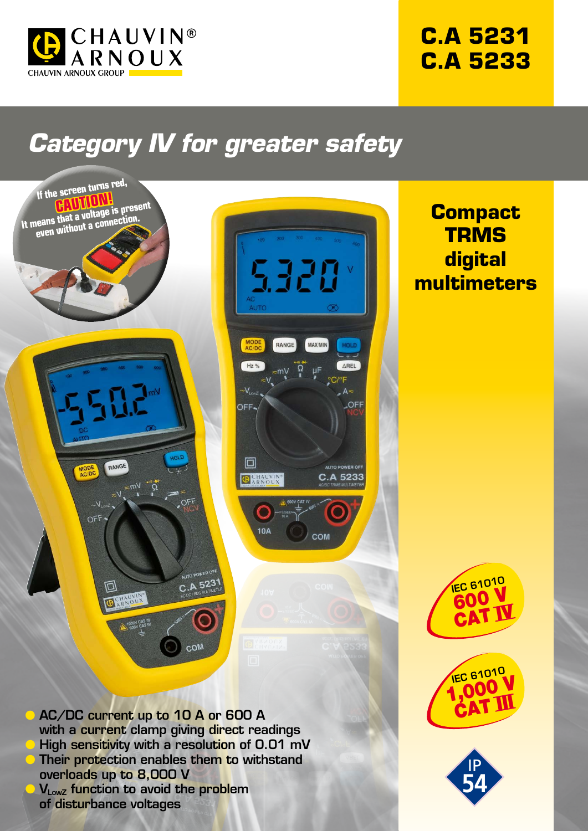

## **C.A 5231 C.A 5233**

# *Category IV for greater safety*